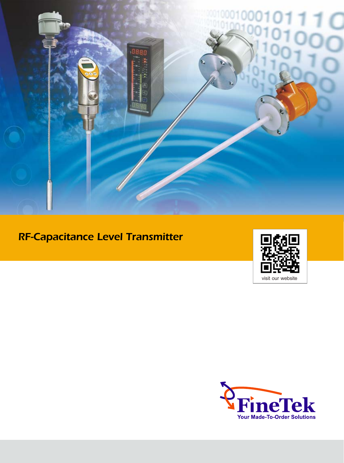

# RF-Capacitance Level Transmitter



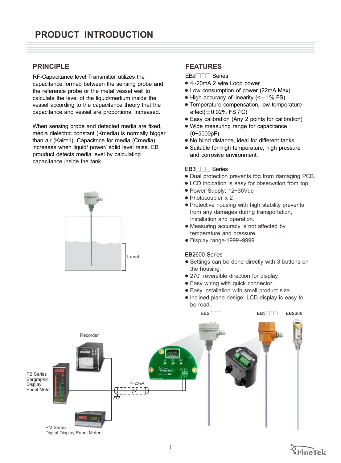## **PRINCIPI F**

RF-Capacitance level Transmitter utilizes the capacitance formed between the sensing probe and the reference probe or the metal vessel wall to calculate the level of the liquid/medium inside the vessel according to the capacitance theory that the capacitance and vessel are proportional increased.

When sensing probe and detected media are fixed, media dielectric constant (Kmedia) is normally bigger than air (Kair=1). Capacitnce for media (Cmedia) increases when liquid/ power/ solid level raise. EB prouduct detects media level by calculating capacitance inside the tank.



## **FEATURES**

EB2<sup>1</sup><sub>0</sub> Series

- 4~20mA 2 wire Loop power 1
- Low consumption of power (22mA Max) 1
- $\bullet$  High accuracy of linearity (< $\pm$  1% FS)
- Temperature compensation, low temperature 1 effect( $\pm$  0.02% FS /°C)
- Easy calibration (Any 2 points for calibration) 1
- Wide measuring range for capacitance 1 (0~5000pF)
- No blind distance, ideal for different tanks. 1
- Suitable for high temperature, high pressure and corrosive environment.

#### EB3<sup>1</sup><sub>0</sub> Series

- 1 Dual protection prevents fog from damaging PCB.
- $\bullet$  LCD indication is easy for observation from top.
- Power Supply: 12~36Vdc
- Photocoupler x 2
- 1 Protective housing with high stability prevents from any damages during transportation, installation and operation.
- 1 Measuring accuracy is not affected by temperature and pressure.
- 1 Display range-1999~9999

#### EB2600 Series

 $EB2$  $\neg$  $\neg$ 

- Settings can be done directly with 3 buttons on the housing.
- $\bullet$  270 $^{\circ}$  reversible direction for display.
- Easy wiring with quick connector.
- Easy installation with small product size.
- Inclined plane desige, LCD display is easy to be read.

EB3<sup>1</sup>11<sup>9</sup>



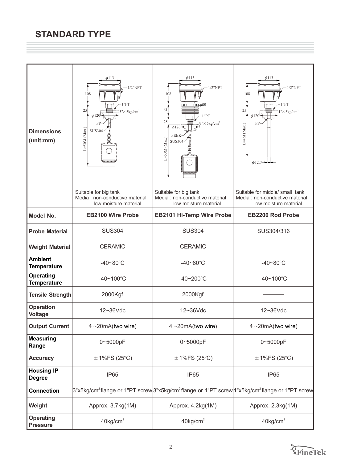| <b>Dimensions</b><br>(unit:mm)         | $\phi$ 113<br>$1/2$ "NPT<br>108<br>"PT<br>25<br>$\times$ 5 kg/cm <sup>2</sup><br>$\phi$ 120 <sup>1</sup><br>PP.<br>$L = 50M$ (Max.)<br><b>SUS304</b> | $\phi$ 113<br>$1/2$ "NPT<br>108<br>$\equiv \phi$ 88<br>61<br>1"PT<br>25<br>$3'' \times 5 \text{kg/cm}^2$<br>$\phi$ 120 <sup> </sup><br><b>PEEK</b><br>$L = 50M$ (Max.)<br><b>SUS304</b> | $\phi$ 113<br>$1/2$ "NPT<br>108<br>"PT<br>25<br>$1'' \times 5 \text{kg/cm}^2$<br>$\phi$ 120 <sup>1</sup><br>PP<br>$L=4M$ (Max.)<br>$\phi$ 12.7 $\rightarrow$ |
|----------------------------------------|------------------------------------------------------------------------------------------------------------------------------------------------------|-----------------------------------------------------------------------------------------------------------------------------------------------------------------------------------------|--------------------------------------------------------------------------------------------------------------------------------------------------------------|
|                                        | Suitable for big tank<br>Media : non-conductive material<br>low moisture material                                                                    | Suitable for big tank<br>Media : non-conductive material<br>low moisture material                                                                                                       | Suitable for middle/ small tank<br>Media: non-conductive material<br>low moisture material                                                                   |
| <b>Model No.</b>                       | <b>EB2100 Wire Probe</b>                                                                                                                             | <b>EB2101 Hi-Temp Wire Probe</b>                                                                                                                                                        | <b>EB2200 Rod Probe</b>                                                                                                                                      |
| <b>Probe Material</b>                  | <b>SUS304</b>                                                                                                                                        | <b>SUS304</b>                                                                                                                                                                           | SUS304/316                                                                                                                                                   |
| <b>Weight Material</b>                 | <b>CERAMIC</b>                                                                                                                                       | <b>CERAMIC</b>                                                                                                                                                                          |                                                                                                                                                              |
| <b>Ambient</b><br><b>Temperature</b>   | $-40 - 80^{\circ}$ C                                                                                                                                 | $-40 - 80^{\circ}$ C                                                                                                                                                                    | $-40 - 80^{\circ}$ C                                                                                                                                         |
| <b>Operating</b><br><b>Temperature</b> | $-40 - 100^{\circ}C$                                                                                                                                 | $-40 - 200$ °C                                                                                                                                                                          | $-40 - 100^{\circ}$ C                                                                                                                                        |
| <b>Tensile Strength</b>                | 2000Kgf                                                                                                                                              | 2000Kgf                                                                                                                                                                                 |                                                                                                                                                              |
| <b>Operation</b><br><b>Voltage</b>     | 12~36Vdc                                                                                                                                             | $12 - 36$ Vdc                                                                                                                                                                           | $12 - 36$ Vdc                                                                                                                                                |
| <b>Output Current</b>                  | 4~20mA(two wire)                                                                                                                                     | $4 - 20mA(two wire)$                                                                                                                                                                    | $4 \sim 20 \text{mA}$ (two wire)                                                                                                                             |
| <b>Measuring</b><br>Range              | 0~5000pF                                                                                                                                             | 0~5000pF                                                                                                                                                                                | 0~5000pF                                                                                                                                                     |
| <b>Accuracy</b>                        | $\pm$ 1%FS (25°C)                                                                                                                                    | $\pm$ 1%FS (25°C)                                                                                                                                                                       | $\pm$ 1%FS (25°C)                                                                                                                                            |
| <b>Housing IP</b><br><b>Degree</b>     | IP65                                                                                                                                                 | IP65                                                                                                                                                                                    | IP65                                                                                                                                                         |
| <b>Connection</b>                      |                                                                                                                                                      | 3"x5kg/cm <sup>2</sup> flange or 1"PT screw 3"x5kg/cm <sup>2</sup> flange or 1"PT screw 1"x5kg/cm <sup>2</sup> flange or 1"PT screw                                                     |                                                                                                                                                              |
| Weight                                 | Approx. 3.7kg(1M)                                                                                                                                    | Approx. 4.2kg(1M)                                                                                                                                                                       | Approx. 2.3kg(1M)                                                                                                                                            |
| <b>Operating</b><br><b>Pressure</b>    | $40$ kg/cm <sup>2</sup>                                                                                                                              | $40$ kg/cm <sup>2</sup>                                                                                                                                                                 | $40$ kg/cm <sup>2</sup>                                                                                                                                      |

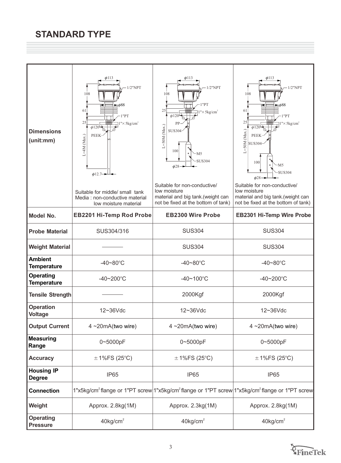| <b>Dimensions</b><br>(unit:mm)                               | $\phi$ 113<br>$1/2$ "NPT<br>108<br>$\equiv \phi$ 88<br>61<br>1"PT<br>25<br>" $\times$ 5 kg/cm <sup>2</sup><br>$\phi$ 120 <sup>1</sup><br>PEEK-<br>L=4M (Max.)<br>$\phi$ 12.7 $\rightarrow$ | $\phi$ 113<br>$1/2$ "NPT<br>108<br>1"PT<br>25<br>" $\times$ 5 kg/cm <sup>2</sup><br>$\phi$ 120<br>PP<br>$L = 50M$ (Max.)<br>SUS304<br>100<br>-M5<br>SUS304<br>$\phi$ 28. | $\phi$ 113<br>$-1/2$ "NPT<br>108<br>$\equiv \phi$ 88<br>61<br>1"PT<br>25<br>$1''\times 5 \text{kg/cm}^2$<br>$\phi$ 120<br>$L=50M$ (Max.)<br><b>PEEK</b><br><b>SUS304</b><br>100<br>M <sub>5</sub><br><b>SUS304</b><br>$\phi$ 28- |
|--------------------------------------------------------------|--------------------------------------------------------------------------------------------------------------------------------------------------------------------------------------------|--------------------------------------------------------------------------------------------------------------------------------------------------------------------------|----------------------------------------------------------------------------------------------------------------------------------------------------------------------------------------------------------------------------------|
|                                                              | Suitable for middle/ small tank<br>Media: non-conductive material<br>low moisture material                                                                                                 | Suitable for non-conductive/<br>low moisture<br>material and big tank.(weight can<br>not be fixed at the bottom of tank)                                                 | Suitable for non-conductive/<br>low moisture<br>material and big tank.(weight can<br>not be fixed at the bottom of tank)                                                                                                         |
| <b>Model No.</b>                                             | <b>EB2201 Hi-Temp Rod Probe</b>                                                                                                                                                            | <b>EB2300 Wire Probe</b>                                                                                                                                                 | <b>EB2301 Hi-Temp Wire Probe</b>                                                                                                                                                                                                 |
| <b>Probe Material</b>                                        | SUS304/316                                                                                                                                                                                 | <b>SUS304</b>                                                                                                                                                            | <b>SUS304</b>                                                                                                                                                                                                                    |
| <b>Weight Material</b>                                       |                                                                                                                                                                                            | <b>SUS304</b>                                                                                                                                                            | <b>SUS304</b>                                                                                                                                                                                                                    |
| <b>Ambient</b><br>$-40 - 80^{\circ}$ C<br><b>Temperature</b> |                                                                                                                                                                                            | $-40 - 80^{\circ}$ C                                                                                                                                                     | $-40 - 80^{\circ}$ C                                                                                                                                                                                                             |
| <b>Operating</b><br>$-40 - 200$ °C<br><b>Temperature</b>     |                                                                                                                                                                                            | $-40 - 100^{\circ}C$                                                                                                                                                     | $-40 - 200$ °C                                                                                                                                                                                                                   |
| <b>Tensile Strength</b>                                      |                                                                                                                                                                                            | 2000Kgf                                                                                                                                                                  | 2000Kgf                                                                                                                                                                                                                          |
| <b>Operation</b><br>12~36Vdc<br><b>Voltage</b>               |                                                                                                                                                                                            | $12 - 36$ Vdc                                                                                                                                                            | 12~36Vdc                                                                                                                                                                                                                         |
| <b>Output Current</b>                                        | $4 - 20mA$ (two wire)                                                                                                                                                                      | 4~20mA(two wire)                                                                                                                                                         | $4 - 20mA(two wire)$                                                                                                                                                                                                             |
| <b>Measuring</b><br>Range                                    | 0~5000pF                                                                                                                                                                                   | 0~5000pF                                                                                                                                                                 | 0~5000pF                                                                                                                                                                                                                         |
| <b>Accuracy</b>                                              | $\pm$ 1%FS (25°C)                                                                                                                                                                          | $± 1\%FS(25°C)$                                                                                                                                                          | $\pm$ 1%FS (25°C)                                                                                                                                                                                                                |
| <b>Housing IP</b><br><b>Degree</b>                           | IP65                                                                                                                                                                                       | IP65                                                                                                                                                                     | IP65                                                                                                                                                                                                                             |
| <b>Connection</b>                                            |                                                                                                                                                                                            |                                                                                                                                                                          | 1"x5kg/cm <sup>2</sup> flange or 1"PT screw 1"x5kg/cm <sup>2</sup> flange or 1"PT screw 1"x5kg/cm <sup>2</sup> flange or 1"PT screw                                                                                              |
| Approx. 2.8kg(1M)<br>Weight                                  |                                                                                                                                                                                            | Approx. 2.3kg(1M)                                                                                                                                                        | Approx. 2.8kg(1M)                                                                                                                                                                                                                |
| <b>Operating</b><br><b>Pressure</b>                          | $40$ kg/cm <sup>2</sup>                                                                                                                                                                    | $40$ kg/cm <sup>2</sup>                                                                                                                                                  | $40$ kg/cm <sup>2</sup>                                                                                                                                                                                                          |

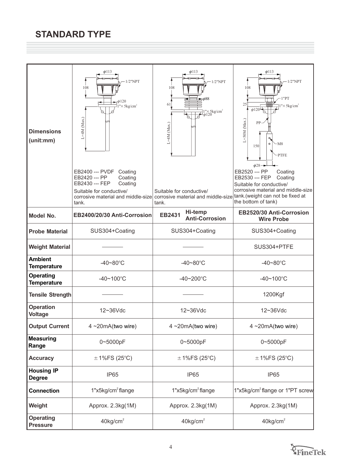| <b>Dimensions</b><br>(unit:mm)         | $\phi$ 113<br>$1/2$ "NPT<br>108<br>$\phi$ 120<br>$1'' \times 5 \text{kg/cm}^2$<br>L=4M (Max.)<br>EB2400 --- PVDF<br>Coating<br>EB2420 --- PP<br>Coating<br>EB2430 --- FEP<br>Coating<br>Suitable for conductive/<br>corrosive material and middle-size<br>tank. | $\phi$ 113<br>$-1/2$ "NPT<br>108<br>$\blacktriangleright \phi$ 88<br>61<br>$\exists$ l"×5kg/cm <sup>2</sup><br>$L=4M$ (Max.)<br>Suitable for conductive/<br>corrosive material and middle-size<br>tank. | $\phi$ 113<br>$-1/2$ "NPT<br>108<br>1"PT<br>25<br>$1" \times 5$ kg/cm <sup>2</sup><br>$\phi$ 120 <sup> </sup><br>$L$ = 50 M (Max.)<br>PP.<br>$\circ$<br>$-M8$<br>150<br><b>PTFE</b><br>$\phi$ 28 $\rightarrow$<br>EB2520 --- PP<br>Coating<br>EB2530 --- FEP<br>Coating<br>Suitable for conductive/<br>corrosive material and middle-size<br>tank.(weight can not be fixed at<br>the bottom of tank) |  |
|----------------------------------------|-----------------------------------------------------------------------------------------------------------------------------------------------------------------------------------------------------------------------------------------------------------------|---------------------------------------------------------------------------------------------------------------------------------------------------------------------------------------------------------|------------------------------------------------------------------------------------------------------------------------------------------------------------------------------------------------------------------------------------------------------------------------------------------------------------------------------------------------------------------------------------------------------|--|
| <b>Model No.</b>                       | EB2400/20/30 Anti-Corrosion                                                                                                                                                                                                                                     | Hi-temp<br><b>EB2431</b><br><b>Anti-Corrosion</b>                                                                                                                                                       | EB2520/30 Anti-Corrosion<br><b>Wire Probe</b>                                                                                                                                                                                                                                                                                                                                                        |  |
| <b>Probe Material</b>                  | SUS304+Coating                                                                                                                                                                                                                                                  | SUS304+Coating                                                                                                                                                                                          | SUS304+Coating                                                                                                                                                                                                                                                                                                                                                                                       |  |
| <b>Weight Material</b>                 |                                                                                                                                                                                                                                                                 |                                                                                                                                                                                                         | SUS304+PTFE                                                                                                                                                                                                                                                                                                                                                                                          |  |
| <b>Ambient</b><br><b>Temperature</b>   | $-40 - 80^{\circ}$ C                                                                                                                                                                                                                                            | $-40 - 80^{\circ}$ C                                                                                                                                                                                    | $-40 - 80^{\circ}$ C                                                                                                                                                                                                                                                                                                                                                                                 |  |
| <b>Operating</b><br><b>Temperature</b> | $-40 - 100^{\circ}$ C                                                                                                                                                                                                                                           | $-40 - 200$ °C                                                                                                                                                                                          | $-40 - 100^{\circ}$ C                                                                                                                                                                                                                                                                                                                                                                                |  |
| <b>Tensile Strength</b>                |                                                                                                                                                                                                                                                                 |                                                                                                                                                                                                         | 1200Kgf                                                                                                                                                                                                                                                                                                                                                                                              |  |
| <b>Operation</b><br><b>Voltage</b>     | 12~36Vdc                                                                                                                                                                                                                                                        | 12~36Vdc                                                                                                                                                                                                | 12~36Vdc                                                                                                                                                                                                                                                                                                                                                                                             |  |
| <b>Output Current</b>                  | 4~20mA(two wire)                                                                                                                                                                                                                                                | 4~20mA(two wire)                                                                                                                                                                                        | $4 - 20mA$ (two wire)                                                                                                                                                                                                                                                                                                                                                                                |  |
| <b>Measuring</b><br>Range              | 0~5000pF                                                                                                                                                                                                                                                        | 0~5000pF                                                                                                                                                                                                | 0~5000pF                                                                                                                                                                                                                                                                                                                                                                                             |  |
| <b>Accuracy</b>                        | $\pm$ 1%FS (25°C)                                                                                                                                                                                                                                               | $\pm$ 1%FS (25°C)                                                                                                                                                                                       | $\pm$ 1%FS (25°C)                                                                                                                                                                                                                                                                                                                                                                                    |  |
| <b>Housing IP</b><br><b>Degree</b>     | IP <sub>65</sub>                                                                                                                                                                                                                                                | IP65                                                                                                                                                                                                    | IP65                                                                                                                                                                                                                                                                                                                                                                                                 |  |
| <b>Connection</b>                      | 1"x5kg/cm <sup>2</sup> flange                                                                                                                                                                                                                                   | 1"x5kg/cm <sup>2</sup> flange                                                                                                                                                                           | 1"x5kg/cm <sup>2</sup> flange or 1"PT screw                                                                                                                                                                                                                                                                                                                                                          |  |
| Weight                                 | Approx. 2.3kg(1M)                                                                                                                                                                                                                                               | Approx. 2.3kg(1M)                                                                                                                                                                                       | Approx. 2.3kg(1M)                                                                                                                                                                                                                                                                                                                                                                                    |  |
| <b>Operating</b><br><b>Pressure</b>    | $40$ kg/cm <sup>2</sup>                                                                                                                                                                                                                                         | $40$ kg/cm <sup>2</sup>                                                                                                                                                                                 | $40$ kg/cm <sup>2</sup>                                                                                                                                                                                                                                                                                                                                                                              |  |

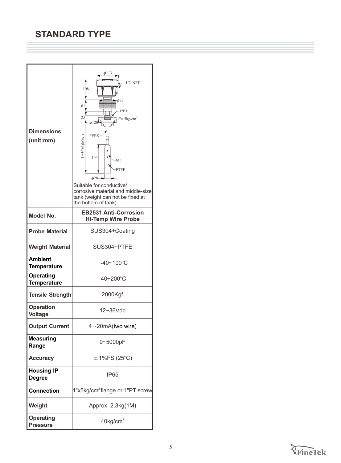| <b>Dimensions</b><br>(unit:mm)         | $\phi$ 113<br>$1/2$ "NPT<br>108<br>$= 0.688$<br>61<br>1"PT<br>25<br>$1'' \times 5 \text{kg/cm}^2$<br>$\phi$ 120<br><b>PEEK</b><br>$L = 50M$ (Max.)<br>$\circ$<br>°<br>100<br>M5<br><b>PTFE</b><br>$\phi$ 28-<br>Suitable for conductive/<br>corrosive material and middle-size<br>tank.(weight can not be fixed at<br>the bottom of tank) |
|----------------------------------------|-------------------------------------------------------------------------------------------------------------------------------------------------------------------------------------------------------------------------------------------------------------------------------------------------------------------------------------------|
| <b>Model No.</b>                       | <b>EB2531 Anti-Corrosion</b><br><b>Hi-Temp Wire Probe</b>                                                                                                                                                                                                                                                                                 |
| <b>Probe Material</b>                  | SUS304+Coating                                                                                                                                                                                                                                                                                                                            |
| <b>Weight Material</b>                 | SUS304+PTFE                                                                                                                                                                                                                                                                                                                               |
| <b>Ambient</b><br><b>Temperature</b>   | $-40 - 100$ °C                                                                                                                                                                                                                                                                                                                            |
| <b>Operating</b><br><b>Temperature</b> | $-40 - 200$ °C                                                                                                                                                                                                                                                                                                                            |
| <b>Tensile Strength</b>                | 2000Kgf                                                                                                                                                                                                                                                                                                                                   |
| <b>Operation</b><br><b>Voltage</b>     | $12 - 36$ Vdc                                                                                                                                                                                                                                                                                                                             |
| <b>Output Current</b>                  | $4 - 20mA(two wire)$                                                                                                                                                                                                                                                                                                                      |
| <b>Measuring</b><br>Range              | 0~5000pF                                                                                                                                                                                                                                                                                                                                  |
| <b>Accuracy</b>                        | $\pm$ 1%FS (25°C)                                                                                                                                                                                                                                                                                                                         |
| <b>Housing IP</b><br><b>Degree</b>     | IP <sub>65</sub>                                                                                                                                                                                                                                                                                                                          |
| <b>Connection</b>                      | 1"x5kg/cm <sup>2</sup> flange or 1"PT screw                                                                                                                                                                                                                                                                                               |
| Weight                                 | Approx. 2.3kg(1M)                                                                                                                                                                                                                                                                                                                         |
| <b>Operating</b><br><b>Pressure</b>    | $40$ kg/cm <sup>2</sup>                                                                                                                                                                                                                                                                                                                   |

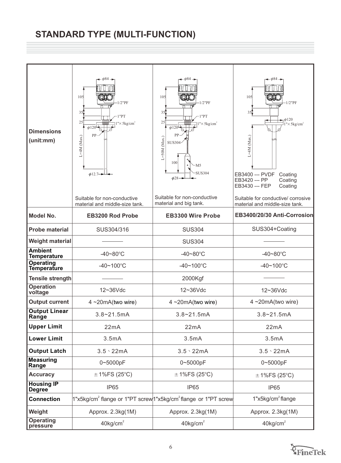# **STANDARD TYPE (MULTI-FUNCTION)**

| <b>Dimensions</b><br>(unit:mm)                               | $-\phi$ 84 $-$<br>105<br>$1/2$ "PF<br>351<br>1"PT<br>25<br>$\sqrt{5}$ kg/cm <sup>2</sup><br>$\phi$ 120 <sup>-</sup><br>PP-<br>$L = 4M$ (Max.)<br>$\phi$ 12.7 $\rightarrow$<br>Suitable for non-conductive<br>material and middle-size tank. | $-\phi$ 84 –<br>105<br>$-1/2$ "PF<br>35.<br>1"PT<br>25<br>" $\times$ 5 kg/cm <sup>2</sup><br>$\phi$ 120 <sup> </sup><br>PP<br>$L = 50M$ (Max.)<br><b>SUS304</b><br>100<br>N5-<br><b>SUS304</b><br>$\phi$ 28-<br>Suitable for non-conductive<br>material and big tank. | $-\phi$ 84<br>105<br>$-1/2$ "PF<br>$35$ <sup><math>\uparrow</math></sup><br>$\rightarrow$ $\phi$ 120<br>$1'' \times 5$ kg/cm <sup>2</sup><br>$L=4M$ (Max.)<br>EB3400 --- PVDF<br>Coating<br>EB3420 --- PP<br>Coating<br>EB3430 --- FEP<br>Coating<br>Suitable for conductive/ corrosive<br>material and middle-size tank. |  |
|--------------------------------------------------------------|---------------------------------------------------------------------------------------------------------------------------------------------------------------------------------------------------------------------------------------------|-----------------------------------------------------------------------------------------------------------------------------------------------------------------------------------------------------------------------------------------------------------------------|---------------------------------------------------------------------------------------------------------------------------------------------------------------------------------------------------------------------------------------------------------------------------------------------------------------------------|--|
| <b>Model No.</b>                                             | <b>EB3200 Rod Probe</b>                                                                                                                                                                                                                     | <b>EB3300 Wire Probe</b>                                                                                                                                                                                                                                              | EB3400/20/30 Anti-Corrosion                                                                                                                                                                                                                                                                                               |  |
| <b>Probe material</b>                                        | SUS304/316                                                                                                                                                                                                                                  | <b>SUS304</b>                                                                                                                                                                                                                                                         | SUS304+Coating                                                                                                                                                                                                                                                                                                            |  |
| <b>Weight material</b>                                       |                                                                                                                                                                                                                                             | <b>SUS304</b>                                                                                                                                                                                                                                                         |                                                                                                                                                                                                                                                                                                                           |  |
| <b>Ambient</b><br>$-40 - 80^{\circ}$ C<br><b>Temperature</b> |                                                                                                                                                                                                                                             | $-40 - 80^{\circ}$ C                                                                                                                                                                                                                                                  | $-40 - 80^{\circ}$ C                                                                                                                                                                                                                                                                                                      |  |
| <b>Operating</b><br>Temperature                              | $-40 - 100^{\circ}C$                                                                                                                                                                                                                        | $-40 - 100^{\circ}C$                                                                                                                                                                                                                                                  | $-40 - 100^{\circ}C$                                                                                                                                                                                                                                                                                                      |  |
| <b>Tensile strength</b>                                      |                                                                                                                                                                                                                                             | 2000Kgf                                                                                                                                                                                                                                                               |                                                                                                                                                                                                                                                                                                                           |  |
| <b>Operation</b><br>12~36Vdc<br>voltage                      |                                                                                                                                                                                                                                             | 12~36Vdc                                                                                                                                                                                                                                                              | 12~36Vdc                                                                                                                                                                                                                                                                                                                  |  |
| <b>Output current</b>                                        | $4 - 20mA$ (two wire)                                                                                                                                                                                                                       | $4 - 20 \text{mA}$ (two wire)                                                                                                                                                                                                                                         | $4 \sim 20 \text{mA}$ (two wire)                                                                                                                                                                                                                                                                                          |  |
| <b>Output Linear</b><br>Range                                | $3.8 - 21.5$ mA                                                                                                                                                                                                                             | $3.8 - 21.5mA$                                                                                                                                                                                                                                                        | $3.8 - 21.5mA$                                                                                                                                                                                                                                                                                                            |  |
| <b>Upper Limit</b>                                           | 22mA                                                                                                                                                                                                                                        | 22mA                                                                                                                                                                                                                                                                  | 22mA                                                                                                                                                                                                                                                                                                                      |  |
| <b>Lower Limit</b>                                           | 3.5mA                                                                                                                                                                                                                                       | 3.5mA                                                                                                                                                                                                                                                                 | 3.5mA                                                                                                                                                                                                                                                                                                                     |  |
| <b>Output Latch</b>                                          | $3.5 \cdot 22 \text{mA}$                                                                                                                                                                                                                    | $3.5 \cdot 22 \text{mA}$                                                                                                                                                                                                                                              | $3.5 \cdot 22 \text{mA}$                                                                                                                                                                                                                                                                                                  |  |
| <b>Measuring</b><br>Range                                    | 0~5000pF<br>0~5000pF                                                                                                                                                                                                                        |                                                                                                                                                                                                                                                                       | 0~5000pF                                                                                                                                                                                                                                                                                                                  |  |
| <b>Accuracy</b>                                              | $\pm$ 1%FS (25°C)                                                                                                                                                                                                                           | $\pm$ 1%FS (25°C)                                                                                                                                                                                                                                                     | $\pm$ 1%FS (25°C)                                                                                                                                                                                                                                                                                                         |  |
| <b>Housing IP</b><br><b>Degree</b>                           | IP65                                                                                                                                                                                                                                        | IP65                                                                                                                                                                                                                                                                  | IP65                                                                                                                                                                                                                                                                                                                      |  |
| <b>Connection</b>                                            |                                                                                                                                                                                                                                             | 1"x5kg/cm <sup>2</sup> flange or 1"PT screw <sup>1</sup> 1"x5kg/cm <sup>2</sup> flange or 1"PT screw                                                                                                                                                                  | 1"x5kg/cm <sup>2</sup> flange                                                                                                                                                                                                                                                                                             |  |
| Weight                                                       | Approx. 2.3kg(1M)                                                                                                                                                                                                                           | Approx. 2.3kg(1M)                                                                                                                                                                                                                                                     | Approx. 2.3kg(1M)                                                                                                                                                                                                                                                                                                         |  |
| <b>Operating</b><br>$40$ kg/cm <sup>2</sup><br>pressure      |                                                                                                                                                                                                                                             | $40$ kg/cm <sup>2</sup><br>$40$ kg/cm <sup>2</sup>                                                                                                                                                                                                                    |                                                                                                                                                                                                                                                                                                                           |  |

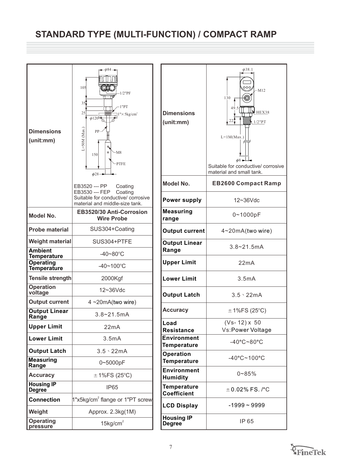# **STANDARD TYPE (MULTI-FUNCTION) / COMPACT RAMP**

| <b>Dimensions</b><br>(unit:mm)         | - φ84 →<br>105<br>QX<br>$1/2$ "PF<br>35<br>1"PT<br>25<br>$1'' \times 5 \text{kg/cm}^2$<br>$\phi$ 120<br>$L = 50M$ (Max.)<br>PP<br>۹<br>$\circ$<br>M8<br>150<br>-PTFE<br>$\phi$ 28 $\rightarrow$ | <b>Dimensions</b><br>(unit:mm)          |
|----------------------------------------|-------------------------------------------------------------------------------------------------------------------------------------------------------------------------------------------------|-----------------------------------------|
|                                        | EB3520 --- PP<br>Coating<br>EB3530 --- FEP<br>Coating<br>Suitable for conductive/ corrosive<br>material and middle-size tank.                                                                   | <b>Model No.</b><br><b>Power supp</b>   |
| <b>Model No.</b>                       | EB3520/30 Anti-Corrosion<br><b>Wire Probe</b>                                                                                                                                                   | <b>Measuring</b><br>range               |
| <b>Probe material</b>                  | SUS304+Coating                                                                                                                                                                                  | <b>Output curr</b>                      |
| <b>Weight material</b>                 | SUS304+PTFE                                                                                                                                                                                     | <b>Output Line</b>                      |
| <b>Ambient</b><br><b>Temperature</b>   | $-40 - 80^{\circ}$ C                                                                                                                                                                            | Range                                   |
| <b>Operating</b><br><b>Temperature</b> | $-40 - 100^{\circ}$ C                                                                                                                                                                           | <b>Upper Limit</b>                      |
| <b>Tensile strength</b>                | 2000Kgf                                                                                                                                                                                         | <b>Lower Limit</b>                      |
| <b>Operation</b><br>voltage            | 12~36Vdc                                                                                                                                                                                        | <b>Output Latd</b>                      |
| <b>Output current</b>                  | $4 - 20mA(two wire)$                                                                                                                                                                            |                                         |
| <b>Output Linear</b><br>Range          | $3.8 - 21.5mA$                                                                                                                                                                                  | <b>Accuracy</b>                         |
| <b>Upper Limit</b>                     | 22mA                                                                                                                                                                                            | Load<br><b>Resistance</b>               |
| <b>Lower Limit</b>                     | 3.5mA                                                                                                                                                                                           | Environmer<br><b>Temperatur</b>         |
| <b>Output Latch</b>                    | $3.5 \cdot 22 \text{mA}$                                                                                                                                                                        | <b>Operation</b>                        |
| <b>Measuring</b><br>Range              | 0~5000pF                                                                                                                                                                                        | <b>Temperatur</b>                       |
| <b>Accuracy</b>                        | $\pm$ 1%FS (25°C)                                                                                                                                                                               | <b>Environmer</b><br><b>Humidity</b>    |
| <b>Housing IP</b><br><b>Degree</b>     | <b>IP65</b>                                                                                                                                                                                     | <b>Temperatur</b><br><b>Coefficient</b> |
| <b>Connection</b>                      | 1"x5kg/cm <sup>2</sup> flange or 1"PT screw                                                                                                                                                     | <b>LCD Display</b>                      |
| Weight                                 | Approx. 2.3kg(1M)                                                                                                                                                                               |                                         |
| <b>Operating</b><br>pressure           | $15$ kg/cm <sup>2</sup>                                                                                                                                                                         | <b>Housing IP</b><br><b>Degree</b>      |

| <b>Dimensions</b><br>(unit:mm)           | $\phi$ 38.1<br>000<br>$-M12$<br>130<br>49.5<br>HEX38<br>22;<br>$1/2$ " $PT$<br>$L=1M(Max.)$<br>$\phi$ 8+<br>Suitable for conductive/ corrosive<br>material and small tank. |
|------------------------------------------|----------------------------------------------------------------------------------------------------------------------------------------------------------------------------|
| Model No.                                | <b>EB2600 Compact Ramp</b>                                                                                                                                                 |
| <b>Power supply</b>                      | 12~36Vdc                                                                                                                                                                   |
| <b>Measuring</b><br>range                | 0~1000pF                                                                                                                                                                   |
| <b>Output current</b>                    | 4~20mA(two wire)                                                                                                                                                           |
| <b>Output Linear</b><br>Range            | $3.8 - 21.5$ mA                                                                                                                                                            |
| <b>Upper Limit</b>                       | 22mA                                                                                                                                                                       |
| <b>Lower Limit</b>                       | 3.5mA                                                                                                                                                                      |
| <b>Output Latch</b>                      | $3.5 \cdot 22$ mA                                                                                                                                                          |
| <b>Accuracy</b>                          | $\pm$ 1%FS (25°C)                                                                                                                                                          |
| Load                                     | $(Vs-12) \times 50$                                                                                                                                                        |
| <b>Resistance</b>                        | Vs:Power Voltage                                                                                                                                                           |
| <b>Environment</b><br><b>Temperature</b> | $-40^{\circ}$ C~80 $^{\circ}$ C                                                                                                                                            |
| <b>Operation</b><br><b>Temperature</b>   | $-40^{\circ}$ C~100 $^{\circ}$ C                                                                                                                                           |
| <b>Environment</b><br><b>Humidity</b>    | $0 - 85%$                                                                                                                                                                  |
| <b>Temperature</b><br><b>Coefficient</b> | $\pm$ 0.02% FS. /°C                                                                                                                                                        |
| <b>LCD Display</b>                       | -1999 ~ 9999                                                                                                                                                               |
| <b>Housing IP</b><br><b>Degree</b>       | IP 65                                                                                                                                                                      |

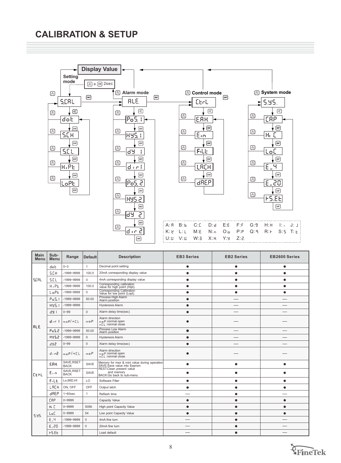## **CALIBRATION & SETUP**

**Display Value**

**RLE** 

ਰਿਤ

99

 $\circledR$ 

 $\circledR$ 

 $\circledR$ 

 $\circledR$ 

 $\circledR$ 

 $^{\circledR}$ 

 $\circledR$ 

 $\circledR$ 

**Setting mode**  $\textcircled{2} + \textcircled{em}$  2sec  $\circledR$  $\boxed{\text{EMT}}$ SCRL  $\circledR$  $\circledR$ dot  $\sqrt{ENT}$  $\circledR$  $50R$  $ENT$  $\circledR$  $551$  $\sqrt{ENT}$  $\circledR$ 8.PE  $\boxed{\text{ENT}}$  $\circledR$ 

LoPE.  $\boxed{\text{ENT}}$ 



| <b>Main</b><br>Menu | Sub-<br>Menu   | Range                     | <b>Default</b> | <b>Description</b>                                                          | <b>EB3 Series</b> | <b>EB2 Series</b> | <b>EB2600 Series</b> |
|---------------------|----------------|---------------------------|----------------|-----------------------------------------------------------------------------|-------------------|-------------------|----------------------|
|                     | dob            | $0 - 3$                   | $\mathbf{1}$   | Decimal point setting                                                       | ٠                 | ٠                 |                      |
|                     | <b>S.CH</b>    | $-1999 - 9999$            | 100.0          | 20mA corresponding display value                                            |                   | $\bullet$         |                      |
| SCRL                | S.CL           | $-1999 - 9999$            | $\mathbf{0}$   | 4mA corresponding display value                                             | $\bullet$         | $\bullet$         | $\bullet$            |
|                     | $H_1PL$        | $-1999 - 9999$            | 100.0          | Corresponding calibration<br>value for high point (Hipt).                   | $\bullet$         | ٠                 | $\bullet$            |
|                     | LoPE           | $-1999 - 9999$            | $\mathbf{0}$   | Corresponding Calibration<br>Value for low point (Lopt).                    | $\bullet$         | ٠                 | ٠                    |
|                     | PoS.1          | $-1999 - 9999$            | 50.00          | Process High Alarm<br>Alarm position                                        | $\bullet$         |                   |                      |
|                     | 895.1          | $-1999 - 9999$            |                | <b>Hysteresis Alarm</b>                                                     | $\bullet$         |                   |                      |
|                     | 89 F           | $0 - 99$                  | $\Omega$       | Alarm delay time(sec)                                                       |                   |                   |                      |
| RL E.               | div 1          | 0.08/001                  | 00P            | Alarm direction<br>n o P:normal open<br>of L:normal close                   |                   |                   |                      |
|                     | PoS.2          | $-1999 - 9999$            | 50.00          | Process Low Alarm<br>Alarm position                                         |                   |                   |                      |
|                     | <b>BYS2</b>    | $-1999 - 9999$            | $\Omega$       | <b>Hysteresis Alarm</b>                                                     | $\bullet$         |                   |                      |
|                     | 892            | $0 - 99$                  | $\mathbf 0$    | Alarm delay time(sec)                                                       | $\bullet$         |                   |                      |
|                     | $d_1$ $c_2$    | 00P/0EL                   | 00P            | Alarm direction<br>n o P:normal open<br>n EL :normal close                  |                   |                   |                      |
|                     | ERH            | SAVE, RSET<br><b>BACK</b> | SAVE           | Memory for max & mini value during operation<br>SAVE:Save value into Eeprom | ●                 |                   |                      |
| lceru               | $E_{\rm{min}}$ | SAVE, RSET<br><b>BACK</b> | SAVE           | REST:Clean present value<br>and memory<br>BACK:Go back to sub-menu          |                   |                   |                      |
|                     | FILE           | Lo.MID.HI                 | LO             | Software Filter                                                             |                   |                   |                      |
|                     | LACH           | ON, OFF                   | OFF            | Output latch                                                                | ٠                 |                   | ٠                    |
|                     | <b>BREP</b>    | $1 - 60$ sec              | $\mathbf{1}$   | Reflash time                                                                |                   |                   |                      |
|                     | <b>CRP</b>     | 0~9999                    |                | Capacity Value                                                              | $\bullet$         | ●                 | $\bullet$            |
|                     | 86 E           | $0 - 9999$                | 5056           | High point Capacity Value                                                   | ٠                 |                   |                      |
| 5.95.               | LoC            | 0~9999                    | 54             | Low point Capacity Value                                                    | $\bullet$         |                   |                      |
|                     | 8.4            | $-1999 - 9999$            | $\mathbf{0}$   | 4mA fine turn                                                               |                   |                   |                      |
|                     | 6.20           | -1999~9999                | $\mathbf 0$    | 20mA fine turn                                                              |                   |                   |                      |
|                     | F5.EE          |                           |                | Load default                                                                |                   |                   |                      |

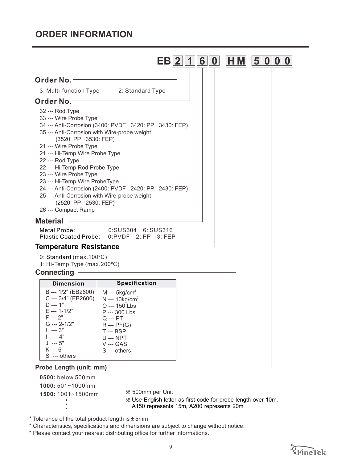## **ORDER INFORMATION**



**0500:** below 500mm

**1000:** 501~1000mm

**1500:** 1001~1500mm <sup>36</sup> 500mm per Unit

Use English letter as first code for probe length over 10m. A150 represents 15m, A200 represents 20m

\* Tolerance of the total product length is  $\pm$  5mm

\* Characteristics, specifications and dimensions are subject to change without notice.

\* Please contact your nearest distributing office for further informations.

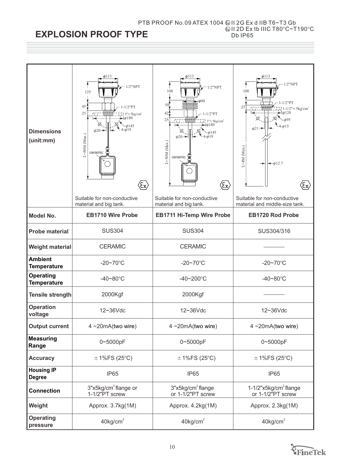#### PTB PROOF No.09 ATEX 1004II 2G Ex d IIB T6~T3 Gb II 2D Ex tb IIIC  $T80^{\circ}$ C~T190 $^{\circ}$ C Db IP65

## **EXPLOSION PROOF TYPE**

| <b>Dimensions</b><br>(unit:mm)                                 | $\phi$ 113<br>$1/2$ "NPT<br>125<br>45<br>$-1/2$ "PT<br>25<br>$13'' \times 5 \text{kg/cm}^2$<br>$\phi$ 180<br>145<br>$\phi$ 20<br>$J = 50M$ (Max.)<br>ceramic<br>$\langle \! \! \infty \rangle$ | $\phi$ 113<br>$1/2$ "NPT<br>108<br>$\neg \phi 88$<br>50<br>421<br>$1 - 1/2$ "PT<br>25<br>$13'' \times 5 \text{kg/cm}^2$<br>$\rightarrow$ 4180<br>145<br>$\phi$ 20 $\rightarrow$<br>$L = 50M$ (Max.)<br>ceramic<br>$\langle \! \! \epsilon \! \! \; \! \; \rangle$ | $\phi$ 113<br>$1/2$ "NPT<br>108<br>$-1/2$ "PT<br>25<br>$-1/2$ " $\times$ 5kg/cm <sup>2</sup><br>$\phi$ 120<br>$\phi$ 21 -<br>$L = 4M$ (Max.)<br>$-\phi$ 12.7<br>ξx, |  |
|----------------------------------------------------------------|------------------------------------------------------------------------------------------------------------------------------------------------------------------------------------------------|-------------------------------------------------------------------------------------------------------------------------------------------------------------------------------------------------------------------------------------------------------------------|---------------------------------------------------------------------------------------------------------------------------------------------------------------------|--|
|                                                                | Suitable for non-conductive<br>material and big tank.                                                                                                                                          | Suitable for non-conductive<br>material and big tank.                                                                                                                                                                                                             | Suitable for non-conductive<br>material and middle-size tank.                                                                                                       |  |
| <b>Model No.</b>                                               | <b>EB1710 Wire Probe</b>                                                                                                                                                                       | <b>EB1711 Hi-Temp Wire Probe</b>                                                                                                                                                                                                                                  | <b>EB1720 Rod Probe</b>                                                                                                                                             |  |
| <b>SUS304</b><br><b>Probe material</b>                         |                                                                                                                                                                                                | <b>SUS304</b>                                                                                                                                                                                                                                                     | SUS304/316                                                                                                                                                          |  |
| <b>Weight material</b>                                         | <b>CERAMIC</b><br><b>CERAMIC</b>                                                                                                                                                               |                                                                                                                                                                                                                                                                   |                                                                                                                                                                     |  |
| <b>Ambient</b><br><b>Temperature</b>                           | $-20 - 70$ °C<br>$-20 - 70^{\circ}$ C                                                                                                                                                          |                                                                                                                                                                                                                                                                   | $-20 - 70^{\circ}$ C                                                                                                                                                |  |
| <b>Operating</b><br>$-40 - 80^{\circ}$ C<br><b>Temperature</b> |                                                                                                                                                                                                | $-40 - 200$ °C                                                                                                                                                                                                                                                    | $-40 - 80^{\circ}$ C                                                                                                                                                |  |
| 2000Kgf<br><b>Tensile strength</b>                             |                                                                                                                                                                                                | 2000Kgf                                                                                                                                                                                                                                                           |                                                                                                                                                                     |  |
| <b>Operation</b><br>voltage                                    | 12~36Vdc<br>12~36Vdc                                                                                                                                                                           |                                                                                                                                                                                                                                                                   | 12~36Vdc                                                                                                                                                            |  |
| <b>Output current</b>                                          | 4~20mA(two wire)                                                                                                                                                                               | $4 - 20mA(two wire)$                                                                                                                                                                                                                                              | $4 - 20mA(two wire)$                                                                                                                                                |  |
| <b>Measuring</b><br>Range                                      | 0~5000pF<br>0~5000pF<br>0~5000pF                                                                                                                                                               |                                                                                                                                                                                                                                                                   |                                                                                                                                                                     |  |
| <b>Accuracy</b>                                                | $\pm$ 1%FS (25°C)<br>$\pm$ 1%FS (25°C)                                                                                                                                                         |                                                                                                                                                                                                                                                                   | $\pm$ 1%FS (25°C)                                                                                                                                                   |  |
| <b>Housing IP</b><br><b>Degree</b>                             | IP65                                                                                                                                                                                           | IP65                                                                                                                                                                                                                                                              | IP65                                                                                                                                                                |  |
| <b>Connection</b>                                              | 3"x5kg/cm <sup>2</sup> flange or<br>1-1/2"PT screw                                                                                                                                             | 3"x5kg/cm <sup>2</sup> flange<br>or 1-1/2"PT screw                                                                                                                                                                                                                | 1-1/2"x5kg/cm <sup>2</sup> flange<br>or 1-1/2"PT screw                                                                                                              |  |
| Weight                                                         | Approx. 3.7kg(1M)                                                                                                                                                                              | Approx. 4.2kg(1M)<br>Approx. 2.3kg(1M)                                                                                                                                                                                                                            |                                                                                                                                                                     |  |
| <b>Operating</b><br>pressure                                   | $40$ kg/cm <sup>2</sup>                                                                                                                                                                        | $40$ kg/cm <sup>2</sup>                                                                                                                                                                                                                                           | $40$ kg/cm <sup>2</sup>                                                                                                                                             |  |

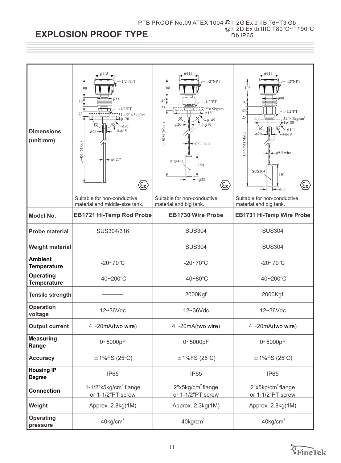#### PTB PROOF No.09 ATEX 1004II 2G Ex d IIB T6~T3 Gb II 2D Ex tb IIIC  $T80^{\circ}$ C~T190 $^{\circ}$ C Db IP65

## **EXPLOSION PROOF TYPE**

| <b>Dimensions</b><br>(unit:mm)                               | $\phi$ 113<br>$1/2$ "NPT<br>108<br>$\phi$ 88<br>50 <sup>1</sup><br>$-1/2$ "PT<br>25<br>$1-1/2$ " $\times$ 5kg/cm <sup>2</sup><br>$\blacktriangleright$ $\phi$ 120<br>$-0.15$<br>$\phi$ 21 <sup>-</sup><br>$L=4M$ (Max.)<br>$-\phi$ 12.7<br>$\langle \! \epsilon \! \times \! \rangle$<br>Suitable for non-conductive | $\phi$ 113<br>$1/2$ "NPT<br>108<br>42 <sup>4</sup><br>$-1/2$ "PT<br>25<br>$\sim 2" \times 5 \text{kg/cm}^2$<br>$-1\phi$ 180<br>b145<br>$L = 50M$ (Max.)<br>$\phi$ 20 $\rightarrow$<br>$4 - \phi 19$<br>$\phi$ 9.5 wire<br><b>SUS304</b><br>150<br>$-\phi$ 38<br>$\langle \! \! \epsilon \! \! \; \! \chi \! \! \rangle$<br>Suitable for non-conductive | $\phi$ 113<br>$1/2$ "NPT<br>108<br>$\equiv \phi$ 88<br>50.<br>42'<br>$-1/2$ "PT<br>25<br>$\vec{v}$ 2" $\times$ 5 kg/cm <sup>2</sup><br>$\rightarrow$ $\phi$ 180<br>b145<br>$L = 50M$ (Max.)<br>$\phi$ 20-<br>$\phi$ 9.5 wire<br><b>SUS304</b><br>150<br>$\langle \mathbf{\hat{x}} \rangle$<br>$\leftarrow \phi$ 38<br>Suitable for non-conductive |
|--------------------------------------------------------------|----------------------------------------------------------------------------------------------------------------------------------------------------------------------------------------------------------------------------------------------------------------------------------------------------------------------|--------------------------------------------------------------------------------------------------------------------------------------------------------------------------------------------------------------------------------------------------------------------------------------------------------------------------------------------------------|---------------------------------------------------------------------------------------------------------------------------------------------------------------------------------------------------------------------------------------------------------------------------------------------------------------------------------------------------|
| <b>Model No.</b>                                             | material and middle-size tank.<br><b>EB1721 Hi-Temp Rod Probe</b>                                                                                                                                                                                                                                                    | material and big tank.<br><b>EB1730 Wire Probe</b>                                                                                                                                                                                                                                                                                                     | material and big tank.<br><b>EB1731 Hi-Temp Wire Probe</b>                                                                                                                                                                                                                                                                                        |
| <b>Probe material</b>                                        | SUS304/316                                                                                                                                                                                                                                                                                                           | <b>SUS304</b>                                                                                                                                                                                                                                                                                                                                          | <b>SUS304</b>                                                                                                                                                                                                                                                                                                                                     |
| <b>Weight material</b>                                       |                                                                                                                                                                                                                                                                                                                      | <b>SUS304</b>                                                                                                                                                                                                                                                                                                                                          | <b>SUS304</b>                                                                                                                                                                                                                                                                                                                                     |
| <b>Ambient</b><br>$-20 - 70^{\circ}$ C<br><b>Temperature</b> |                                                                                                                                                                                                                                                                                                                      | $-20 - 70^{\circ}$ C                                                                                                                                                                                                                                                                                                                                   | $-20 - 70$ °C                                                                                                                                                                                                                                                                                                                                     |
| <b>Operating</b><br>$-40 - 200$ °C<br><b>Temperature</b>     |                                                                                                                                                                                                                                                                                                                      | $-40 - 80^{\circ}$ C                                                                                                                                                                                                                                                                                                                                   | $-40 - 200$ °C                                                                                                                                                                                                                                                                                                                                    |
| <b>Tensile strength</b>                                      |                                                                                                                                                                                                                                                                                                                      | 2000Kgf                                                                                                                                                                                                                                                                                                                                                | 2000Kgf                                                                                                                                                                                                                                                                                                                                           |
| <b>Operation</b><br>voltage                                  | 12~36Vdc                                                                                                                                                                                                                                                                                                             | 12~36Vdc                                                                                                                                                                                                                                                                                                                                               | 12~36Vdc                                                                                                                                                                                                                                                                                                                                          |
| <b>Output current</b>                                        | $4 \sim 20 \text{mA}$ (two wire)                                                                                                                                                                                                                                                                                     | $4 - 20mA$ (two wire)                                                                                                                                                                                                                                                                                                                                  | 4~20mA(two wire)                                                                                                                                                                                                                                                                                                                                  |
| <b>Measuring</b><br>Range                                    | 0~5000pF                                                                                                                                                                                                                                                                                                             | 0~5000pF                                                                                                                                                                                                                                                                                                                                               | 0~5000pF                                                                                                                                                                                                                                                                                                                                          |
| <b>Accuracy</b>                                              | $\pm$ 1%FS (25°C)                                                                                                                                                                                                                                                                                                    | $\pm$ 1%FS (25°C)                                                                                                                                                                                                                                                                                                                                      | $\pm$ 1%FS (25°C)                                                                                                                                                                                                                                                                                                                                 |
| <b>Housing IP</b><br><b>Degree</b>                           | IP65                                                                                                                                                                                                                                                                                                                 | IP65                                                                                                                                                                                                                                                                                                                                                   | IP65                                                                                                                                                                                                                                                                                                                                              |
| <b>Connection</b>                                            | $1-1/2$ "x5kg/cm <sup>2</sup> flange<br>or 1-1/2"PT screw                                                                                                                                                                                                                                                            | 2"x5kg/cm <sup>2</sup> flange<br>or 1-1/2"PT screw                                                                                                                                                                                                                                                                                                     | 2"x5kg/cm <sup>2</sup> flange<br>or 1-1/2"PT screw                                                                                                                                                                                                                                                                                                |
| Weight                                                       | Approx. 2.8kg(1M)                                                                                                                                                                                                                                                                                                    | Approx. 2.3kg(1M)                                                                                                                                                                                                                                                                                                                                      | Approx. 2.8kg(1M)                                                                                                                                                                                                                                                                                                                                 |
| <b>Operating</b><br>pressure                                 | $40$ kg/cm <sup>2</sup>                                                                                                                                                                                                                                                                                              | $40$ kg/cm <sup>2</sup>                                                                                                                                                                                                                                                                                                                                | $40$ kg/cm <sup>2</sup>                                                                                                                                                                                                                                                                                                                           |

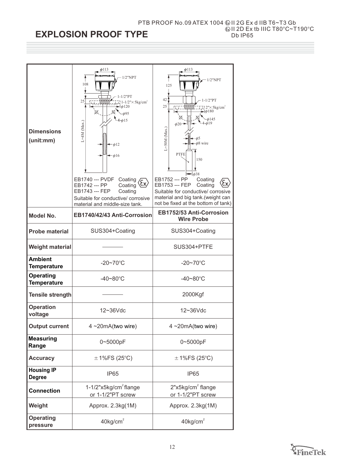#### PTB PROOF No.09 ATEX 1004II 2G Ex d IIB T6~T3 Gb II 2D Ex tb IIIC  $T80^{\circ}$ C~T190 $^{\circ}$ C Db IP65

## **EXPLOSION PROOF TYPE**

| <b>Dimensions</b><br>(unit:mm)         | $\phi$ 113<br>$1/2$ "NPT<br>108<br>$-1/2$ "PT<br>25<br>$-1/2$ " $\times$ 5kg/cm <sup>2</sup><br>Ωij.<br>$\phi$ 120<br>$\phi$ 15<br>$L=4M$ (Max.)<br>$\phi$ 12<br>$\phi$ 16<br>EB1740 --- PVDF<br>Coating<br>ξεχ<br>EB1742 --- PP<br>Coating<br>EB1743 --- FEP<br>Coating<br>Suitable for conductive/ corrosive<br>material and middle-size tank. | $\phi$ 113<br>$1/2$ "NPT<br>125<br>42 <sub>1</sub><br>$1 - 1/2$ "PT<br>25<br>ב'' $\times$ 5kg/cm <sup>2</sup><br>SE FI<br>$\blacktriangleright$ $\phi$ 180<br>Ø<br>$\phi$ 145<br>$\phi$ 19<br>$\phi$ 20-<br>$L = 50M$ (Max.)<br>$\phi$ 5<br>$\phi$ 8 wire<br>PTFE<br>150<br>$\rightarrow \phi$ 38<br>EB1752 --- PP<br>Coating<br>EB1753 --- FEP<br>Coating<br>Suitable for conductive/ corrosive<br>material and big tank.(weight can<br>not be fixed at the bottom of tank) |
|----------------------------------------|--------------------------------------------------------------------------------------------------------------------------------------------------------------------------------------------------------------------------------------------------------------------------------------------------------------------------------------------------|------------------------------------------------------------------------------------------------------------------------------------------------------------------------------------------------------------------------------------------------------------------------------------------------------------------------------------------------------------------------------------------------------------------------------------------------------------------------------|
| Model No.                              | EB1740/42/43 Anti-Corrosion                                                                                                                                                                                                                                                                                                                      | EB1752/53 Anti-Corrosion<br><b>Wire Probe</b>                                                                                                                                                                                                                                                                                                                                                                                                                                |
| <b>Probe material</b>                  | SUS304+Coating                                                                                                                                                                                                                                                                                                                                   | SUS304+Coating                                                                                                                                                                                                                                                                                                                                                                                                                                                               |
| <b>Weight material</b>                 |                                                                                                                                                                                                                                                                                                                                                  | SUS304+PTFE                                                                                                                                                                                                                                                                                                                                                                                                                                                                  |
| <b>Ambient</b><br><b>Temperature</b>   | $-20 - 70$ °C                                                                                                                                                                                                                                                                                                                                    | $-20 - 70$ °C                                                                                                                                                                                                                                                                                                                                                                                                                                                                |
| <b>Operating</b><br><b>Temperature</b> | $-40 - 80^{\circ}$ C                                                                                                                                                                                                                                                                                                                             | $-40 - 80^{\circ}$ C                                                                                                                                                                                                                                                                                                                                                                                                                                                         |
| <b>Tensile strength</b>                |                                                                                                                                                                                                                                                                                                                                                  | 2000Kgf                                                                                                                                                                                                                                                                                                                                                                                                                                                                      |
| <b>Operation</b><br>voltage            | 12~36Vdc                                                                                                                                                                                                                                                                                                                                         | 12~36Vdc                                                                                                                                                                                                                                                                                                                                                                                                                                                                     |
| <b>Output current</b>                  | $4 - 20mA(two wire)$                                                                                                                                                                                                                                                                                                                             | 4~20mA(two wire)                                                                                                                                                                                                                                                                                                                                                                                                                                                             |
| <b>Measuring</b><br>Range              | 0~5000pF                                                                                                                                                                                                                                                                                                                                         | 0~5000pF                                                                                                                                                                                                                                                                                                                                                                                                                                                                     |
| <b>Accuracy</b>                        | $\pm$ 1%FS (25°C)                                                                                                                                                                                                                                                                                                                                | $\pm$ 1%FS (25°C)                                                                                                                                                                                                                                                                                                                                                                                                                                                            |
| <b>Housing IP</b><br><b>Degree</b>     | IP <sub>65</sub>                                                                                                                                                                                                                                                                                                                                 | IP <sub>65</sub>                                                                                                                                                                                                                                                                                                                                                                                                                                                             |
| <b>Connection</b>                      | $1-1/2$ "x5kg/cm <sup>2</sup> flange<br>or 1-1/2"PT screw                                                                                                                                                                                                                                                                                        | 2"x5kg/cm <sup>2</sup> flange<br>or 1-1/2"PT screw                                                                                                                                                                                                                                                                                                                                                                                                                           |
| Weight                                 | Approx. 2.3kg(1M)                                                                                                                                                                                                                                                                                                                                | Approx. 2.3kg(1M)                                                                                                                                                                                                                                                                                                                                                                                                                                                            |
| <b>Operating</b><br>pressure           | $40$ kg/cm <sup>2</sup>                                                                                                                                                                                                                                                                                                                          | $40$ kg/cm <sup>2</sup>                                                                                                                                                                                                                                                                                                                                                                                                                                                      |

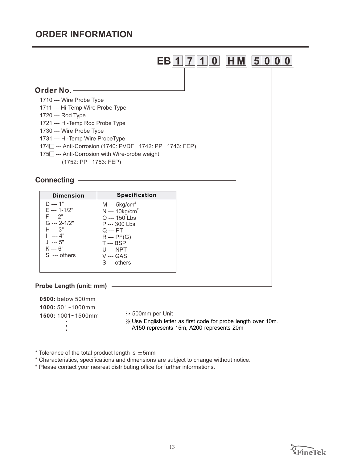## **ORDER INFORMATION**



| <b>Dimension</b>                                                                                                          | <b>Specification</b>                                                                                                                                                    |
|---------------------------------------------------------------------------------------------------------------------------|-------------------------------------------------------------------------------------------------------------------------------------------------------------------------|
| D --- 1"<br>E --- 1-1/2"<br>F --- 2"<br>$G$ --- 2-1/2"<br>H --- 3"<br>$1 - -4$ "<br>$J - -5"$<br>K --- 6"<br>S --- others | M --- $5 \text{kg/cm}^2$<br>$N - 10kg/cm2$<br>O --- 150 Lbs<br>P --- 300 Lbs<br>Q --- PT<br>$R - PF(G)$<br><b>T</b> --- BSP<br>U --- NPT<br>V --- GAS<br>$S$ --- others |
|                                                                                                                           |                                                                                                                                                                         |

## **Probe Length (unit: mm)**

| 0500: below 500mm |                                                                                                                             |
|-------------------|-----------------------------------------------------------------------------------------------------------------------------|
| 1000:501~1000mm   |                                                                                                                             |
| 1500:1001~1500mm  | ※ 500mm per Unit<br>.We English letter as first code for probe length over 10m.<br>A150 represents 15m, A200 represents 20m |
|                   |                                                                                                                             |

 $*$  Tolerance of the total product length is  $\pm$  5mm

\* Characteristics, specifications and dimensions are subject to change without notice.

\* Please contact your nearest distributing office for further informations.

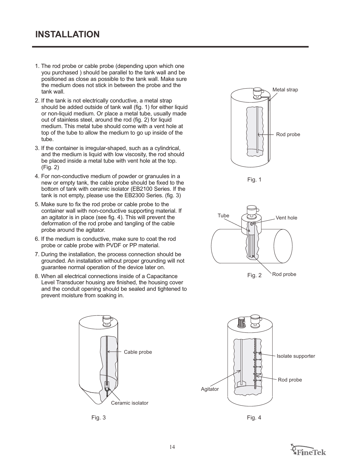- 1. The rod probe or cable probe (depending upon which one you purchased ) should be parallel to the tank wall and be positioned as close as possible to the tank wall. Make sure the medium does not stick in between the probe and the tank wall.
- 2. If the tank is not electrically conductive, a metal strap should be added outside of tank wall (fig. 1) for either liquid or non-liquid medium. Or place a metal tube, usually made out of stainless steel, around the rod (fig. 2) for liquid medium. This metal tube should come with a vent hole at top of the tube to allow the medium to go up inside of the tube.
- 3. If the container is irregular-shaped, such as a cylindrical, and the medium is liquid with low viscosity, the rod should be placed inside a metal tube with vent hole at the top. (Fig. 2)
- 4. For non-conductive medium of powder or granuules in a new or empty tank, the cable probe should be fixed to the bottom of tank with ceramic isolator (EB2100 Series. If the tank is not empty, please use the EB2300 Series. (fig. 3)
- 5. Make sure to fix the rod probe or cable probe to the container wall with non-conductive supporting material. If an agitator is in place (see fig. 4). This will prevent the deformation of the rod probe and tangling of the cable probe around the agitator.
- 6. If the medium is conductive, make sure to coat the rod probe or cable probe with PVDF or PP material.
- 7. During the installation, the process connection should be grounded. An installation without proper grounding will not guarantee normal operation of the device later on.
- 8. When all electrical connections inside of a Capacitance Level Transducer housing are finished, the housing cover and the conduit opening should be sealed and tightened to prevent moisture from soaking in.



Fig. 3 Fig. 4